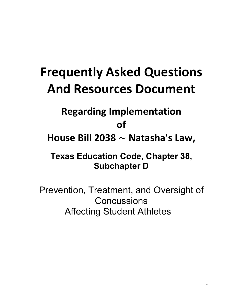# **Frequently\*Asked\*Questions And Resources Document**

# **Regarding Implementation**

## **of\***

House Bill 2038 ~ Natasha's Law,

**Texas Education Code, Chapter 38, Subchapter D**

Prevention, Treatment, and Oversight of **Concussions** Affecting Student Athletes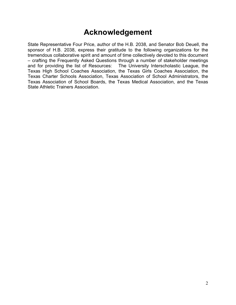## **Acknowledgement**

State Representative Four Price, author of the H.B. 2038, and Senator Bob Deuell, the sponsor of H.B. 2038, express their gratitude to the following organizations for the tremendous collaborative spirit and amount of time collectively devoted to this document – crafting the Frequently Asked Questions through a number of stakeholder meetings and for providing the list of Resources: The University Interscholastic League, the Texas High School Coaches Association, the Texas Girls Coaches Association, the Texas Charter Schools Association, Texas Association of School Administrators, the Texas Association of School Boards, the Texas Medical Association, and the Texas State Athletic Trainers Association.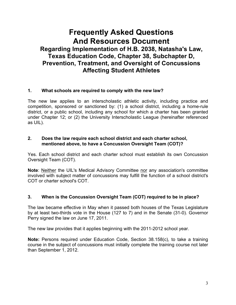## **Frequently Asked Questions And Resources Document Regarding Implementation of H.B. 2038, Natasha's Law, Texas Education Code, Chapter 38, Subchapter D, Prevention, Treatment, and Oversight of Concussions Affecting Student Athletes**

#### **1. What schools are required to comply with the new law?**

The new law applies to an interscholastic athletic activity, including practice and competition, sponsored or sanctioned by: (1) a school district, including a home-rule district, or a public school, including any school for which a charter has been granted under Chapter 12; or (2) the University Interscholastic League (hereinafter referenced as UIL).

#### **2. Does the law require each school district and each charter school, mentioned above, to have a Concussion Oversight Team (COT)?**

Yes. Each school district and each charter school must establish its own Concussion Oversight Team (COT).

**Note**: Neither the UIL's Medical Advisory Committee nor any association's committee involved with subject matter of concussions may fulfill the function of a school district's COT or charter school's COT.

#### **3. When is the Concussion Oversight Team (COT) required to be in place?**

The law became effective in May when it passed both houses of the Texas Legislature by at least two-thirds vote in the House (127 to 7) and in the Senate (31-0). Governor Perry signed the law on June 17, 2011.

The new law provides that it applies beginning with the 2011-2012 school year.

**Note:** Persons required under Education Code, Section 38.158(c), to take a training course in the subject of concussions must initially complete the training course not later than September 1, 2012.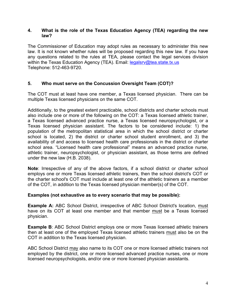#### **4. What is the role of the Texas Education Agency (TEA) regarding the new law?**

The Commissioner of Education may adopt rules as necessary to administer this new law. It is not known whether rules will be proposed regarding this new law. If you have any questions related to the rules at TEA, please contact the legal services division within the Texas Education Agency (TEA). Email: legalsry@tea.state.tx.us Telephone: 512-463-9720.

#### **5. Who must serve on the Concussion Oversight Team (COT)?**

The COT must at least have one member, a Texas licensed physician. There can be multiple Texas licensed physicians on the same COT.

Additionally, to the greatest extent practicable, school districts and charter schools must also include one or more of the following on the COT: a Texas licensed athletic trainer, a Texas licensed advanced practice nurse, a Texas licensed neuropsychologist, or a Texas licensed physician assistant. The factors to be considered include: 1) the population of the metropolitan statistical area in which the school district or charter school is located, 2) the district or charter school student enrollment, and 3) the availability of and access to licensed health care professionals in the district or charter school area. "Licensed health care professional" means an advanced practice nurse, athletic trainer, neuropsychologist, or physician assistant, as those terms are defined under the new law (H.B. 2038).

**Note**: Irrespective of any of the above factors, if a school district or charter school employs one or more Texas licensed athletic trainers, then the school district's COT or the charter school's COT must include at least one of the athletic trainers as a member of the COT, in addition to the Texas licensed physician member(s) of the COT.

#### **Examples (not exhaustive as to every scenario that may be possible):**

**Example A:** ABC School District, irrespective of ABC School District's location, must have on its COT at least one member and that member must be a Texas licensed physician.

**Example B: ABC School District employs one or more Texas licensed athletic trainers** then at least one of the employed Texas licensed athletic trainers must also be on the COT in addition to the Texas licensed physician.

ABC School District may also name to its COT one or more licensed athletic trainers not employed by the district, one or more licensed advanced practice nurses, one or more licensed neuropsychologists, and/or one or more licensed physician assistants.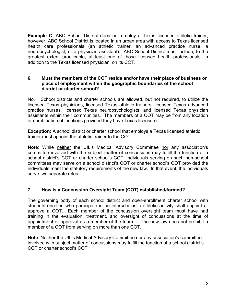**Example C**: ABC School District does not employ a Texas licensed athletic trainer; however, ABC School District is located in an urban area with access to Texas licensed health care professionals (an athletic trainer, an advanced practice nurse, a neuropsychologist, or a physician assistant). ABC School District must include, to the greatest extent practicable, at least one of those licensed health professionals, in addition to the Texas licensed physician, on its COT.

#### **6. Must the members of the COT reside and/or have their place of business or place of employment within the geographic boundaries of the school district or charter school?**

No. School districts and charter schools are allowed, but not required, to utilize the licensed Texas physicians, licensed Texas athletic trainers, licensed Texas advanced practice nurses, licensed Texas neuropsychologists, and licensed Texas physician assistants within their communities. The members of a COT may be from any location or combination of locations provided they have Texas licensure.

**Exception:** A school district or charter school that employs a Texas licensed athletic trainer must appoint the athletic trainer to the COT.

**Note**: While neither the UIL's Medical Advisory Committee nor any association's committee involved with the subject matter of concussions may fulfill the function of a school district's COT or charter school's COT, individuals serving on such non-school committees may serve on a school district's COT or charter school's COT provided the individuals meet the statutory requirements of the new law. In that event, the individuals serve two separate roles.

#### **7. How is a Concussion Oversight Team (COT) established/formed?**

The governing body of each school district and open-enrollment charter school with students enrolled who participate in an interscholastic athletic activity shall appoint or approve a COT. Each member of the concussion oversight team must have had training in the evaluation, treatment, and oversight of concussions at the time of appointment or approval as a member of the team. The new law does not prohibit a member of a COT from serving on more than one COT.

**Note**: Neither the UIL's Medical Advisory Committee nor any association's committee involved with subject matter of concussions may fulfill the function of a school district's COT or charter school's COT.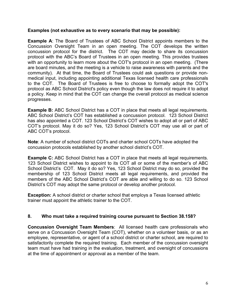#### **Examples (not exhaustive as to every scenario that may be possible):**

**Example A:** The Board of Trustees of ABC School District appoints members to the Concussion Oversight Team in an open meeting. The COT develops the written concussion protocol for the district. The COT may decide to share its concussion protocol with the ABC's Board of Trustees in an open meeting. This provides trustees with an opportunity to learn more about the COT's protocol in an open meeting. (There are board minutes, and the meeting is a vehicle to raise awareness with parents and the community). At that time, the Board of Trustees could ask questions or provide nonmedical input, including appointing additional Texas licensed health care professionals to the COT. The Board of Trustees is free to choose to formally adopt the COT's protocol as ABC School District's policy even though the law does not require it to adopt a policy. Keep in mind that the COT can change the overall protocol as medical science progresses.

**Example B:** ABC School District has a COT in place that meets all legal requirements. ABC School District's COT has established a concussion protocol. 123 School District has also appointed a COT. 123 School District's COT wishes to adopt all or part of ABC COT's protocol. May it do so? Yes, 123 School District's COT may use all or part of ABC COT's protocol.

**Note**: A number of school district COTs and charter school COTs have adopted the concussion protocols established by another school district's COT.

**Example C:** ABC School District has a COT in place that meets all legal requirements. 123 School District wishes to appoint to its COT all or some of the member's of ABC School District's COT. May it do so? Yes, 123 School District may do so, provided the membership of 123 School District meets all legal requirements, and provided the members of the ABC School District's COT are able and willing to do so. 123 School District's COT may adopt the same protocol or develop another protocol.

**Exception:** A school district or charter school that employs a Texas licensed athletic trainer must appoint the athletic trainer to the COT.

#### **8. Who must take a required training course pursuant to Section 38.158?**

**Concussion Oversight Team Members**: All licensed health care professionals who serve on a Concussion Oversight Team (COT), whether on a volunteer basis, or as an employee, representative, or agent of a school district or charter school, are required to satisfactorily complete the required training. Each member of the concussion oversight team must have had training in the evaluation, treatment, and oversight of concussions at the time of appointment or approval as a member of the team.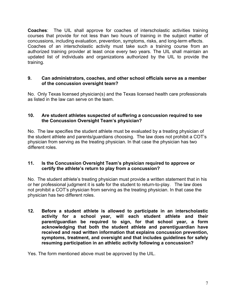**Coaches**: The UIL shall approve for coaches of interscholastic activities training courses that provide for not less than two hours of training in the subject matter of concussions, including evaluation, prevention, symptoms, risks, and long-term effects. Coaches of an interscholastic activity must take such a training course from an authorized training provider at least once every two years. The UIL shall maintain an updated list of individuals and organizations authorized by the UIL to provide the training.

#### **9. Can administrators, coaches, and other school officials serve as a member of the concussion oversight team?**

No. Only Texas licensed physician(s) and the Texas licensed health care professionals as listed in the law can serve on the team.

#### **10. Are student athletes suspected of suffering a concussion required to see the Concussion Oversight Team's physician?**

No. The law specifies the student athlete must be evaluated by a treating physician of the student athlete and parents/guardians choosing. The law does not prohibit a COT's physician from serving as the treating physician. In that case the physician has two different roles.

#### **11. Is the Concussion Oversight Team's physician required to approve or certify the athlete's return to play from a concussion?**

No. The student athlete's treating physician must provide a written statement that in his or her professional judgment it is safe for the student to return-to-play. The law does not prohibit a COT's physician from serving as the treating physician. In that case the physician has two different roles.

**12. Before a student athlete is allowed to participate in an interscholastic activity for a school year, will each student athlete and their parent/guardian be required to sign, for that school year, a form acknowledging that both the student athlete and parent/guardian have received and read written information that explains concussion prevention, symptoms, treatment, and oversight and that includes guidelines for safely resuming participation in an athletic activity following a concussion?**

Yes. The form mentioned above must be approved by the UIL.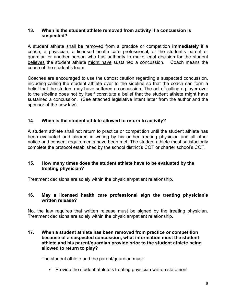#### **13. When is the student athlete removed from activity if a concussion is suspected?**

A student athlete shall be removed from a practice or competition **immediately** if a coach, a physician, a licensed health care professional, or the student's parent or guardian or another person who has authority to make legal decision for the student believes the student athlete might have sustained a concussion. Coach means the coach of the student's team.

Coaches are encouraged to use the utmost caution regarding a suspected concussion, including calling the student athlete over to the sideline so that the coach can form a belief that the student may have suffered a concussion. The act of calling a player over to the sideline does not by itself constitute a belief that the student athlete might have sustained a concussion. (See attached legislative intent letter from the author and the sponsor of the new law).

#### **14. When is the student athlete allowed to return to activity?**

A student athlete shall not return to practice or competition until the student athlete has been evaluated and cleared in writing by his or her treating physician and all other notice and consent requirements have been met. The student athlete must satisfactorily complete the protocol established by the school district's COT or charter school's COT.

#### **15. How many times does the student athlete have to be evaluated by the treating physician?**

Treatment decisions are solely within the physician/patient relationship.

#### **16. May a licensed health care professional sign the treating physician's written release?**

No, the law requires that written release must be signed by the treating physician. Treatment decisions are solely within the physician/patient relationship.

#### **17. When a student athlete has been removed from practice or competition because of a suspected concussion, what information must the student athlete and his parent/guardian provide prior to the student athlete being allowed to return to play?**

The student athlete and the parent/guardian must:

 $\checkmark$  Provide the student athlete's treating physician written statement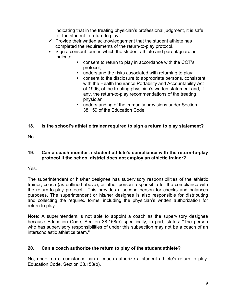indicating that in the treating physician's professional judgment, it is safe for the student to return to play.

- $\checkmark$  Provide their written acknowledgement that the student athlete has completed the requirements of the return-to-play protocol.
- $\checkmark$  Sign a consent form in which the student athlete and parent/guardian indicate:
	- consent to return to play in accordance with the COT's protocol;
	- **understand the risks associated with returning to play;**
	- consent to the disclosure to appropriate persons, consistent with the Health Insurance Portability and Accountability Act of 1996, of the treating physician's written statement and, if any, the return-to-play recommendations of the treating physician;
	- **understanding of the immunity provisions under Section** 38.159 of the Education Code.

#### **18. Is the school's athletic trainer required to sign a return to play statement?**

No.

#### **19. Can a coach monitor a student athlete's compliance with the return-to-play protocol if the school district does not employ an athletic trainer?**

Yes.

The superintendent or his/her designee has supervisory responsibilities of the athletic trainer, coach (as outlined above), or other person responsible for the compliance with the return-to-play protocol. This provides a second person for checks and balances purposes. The superintendent or his/her designee is also responsible for distributing and collecting the required forms, including the physician's written authorization for return to play.

**Note**: A superintendent is not able to appoint a coach as the supervisory designee because Education Code, Section 38.158(c) specifically, in part, states: "The person who has supervisory responsibilities of under this subsection may not be a coach of an interscholastic athletics team."

#### **20. Can a coach authorize the return to play of the student athlete?**

No, under no circumstance can a coach authorize a student athlete's return to play. Education Code, Section 38.158(b).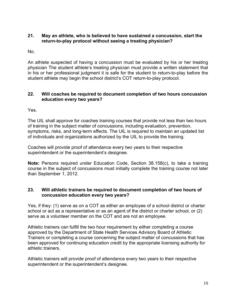#### **21. May an athlete, who is believed to have sustained a concussion, start the return-to-play protocol without seeing a treating physician?**

No.

An athlete suspected of having a concussion must be evaluated by his or her treating physician The student athlete's treating physician must provide a written statement that in his or her professional judgment it is safe for the student to return-to-play before the student athlete may begin the school district's COT return-to-play protocol.

#### **22. Will coaches be required to document completion of two hours concussion education every two years?**

Yes.

The UIL shall approve for coaches training courses that provide not less than two hours of training in the subject matter of concussions, including evaluation, prevention, symptoms, risks, and long-term effects. The UIL is required to maintain an updated list of individuals and organizations authorized by the UIL to provide the training.

Coaches will provide proof of attendance every two years to their respective superintendent or the superintendent's designee.

**Note:** Persons required under Education Code, Section 38.158(c), to take a training course in the subject of concussions must initially complete the training course not later than September 1, 2012.

#### **23. Will athletic trainers be required to document completion of two hours of concussion education every two years?**

Yes, if they: (1) serve as on a COT as either an employee of a school district or charter school or act as a representative or as an agent of the district or charter school, or (2) serve as a volunteer member on the COT and are not an employee.

Athletic trainers can fulfill the two hour requirement by either completing a course approved by the Department of State Health Services Advisory Board of Athletic Trainers or completing a course concerning the subject matter of concussions that has been approved for continuing education credit by the appropriate licensing authority for athletic trainers.

Athletic trainers will provide proof of attendance every two years to their respective superintendent or the superintendent's designee.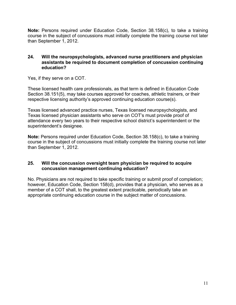**Note:** Persons required under Education Code, Section 38.158(c), to take a training course in the subject of concussions must initially complete the training course not later than September 1, 2012.

#### **24. Will the neuropsychologists, advanced nurse practitioners and physician assistants be required to document completion of concussion continuing education?**

Yes, if they serve on a COT.

These licensed health care professionals, as that term is defined in Education Code Section 38.151(5), may take courses approved for coaches, athletic trainers, or their respective licensing authority's approved continuing education course(s).

Texas licensed advanced practice nurses, Texas licensed neuropsychologists, and Texas licensed physician assistants who serve on COT's must provide proof of attendance every two years to their respective school district's superintendent or the superintendent's designee.

**Note:** Persons required under Education Code, Section 38.158(c), to take a training course in the subject of concussions must initially complete the training course not later than September 1, 2012.

#### **25. Will the concussion oversight team physician be required to acquire concussion management continuing education?**

No. Physicians are not required to take specific training or submit proof of completion; however, Education Code, Section 158(d), provides that a physician, who serves as a member of a COT shall, to the greatest extent practicable, periodically take an appropriate continuing education course in the subject matter of concussions.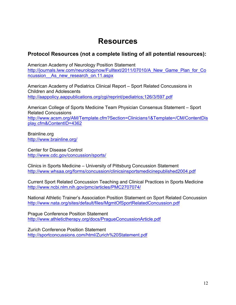## **Resources**

### **Protocol Resources (not a complete listing of all potential resources):**

American Academy of Neurology Position Statement http://journals.lww.com/neurologynow/Fulltext/2011/07010/A New Game Plan for Co ncussion As new research on.11.aspx

American Academy of Pediatrics Clinical Report – Sport Related Concussions in Children and Adolescents http://aappolicy.aappublications.org/cgi/reprint/pediatrics;126/3/597.pdf

American College of Sports Medicine Team Physician Consensus Statement – Sport Related Concussions http://www.acsm.org/AM/Template.cfm?Section=Clinicians1&Template=/CM/ContentDis play.cfm&ContentID=4362

Brainline.org http://www.brainline.org/

Center for Disease Control http://www.cdc.gov/concussion/sports/

Clinics in Sports Medicine – University of Pittsburg Concussion Statement http://www.whsaa.org/forms/concussion/clinicsinsportsmedicinepublished2004.pdf

Current Sport Related Concussion Teaching and Clinical Practices in Sports Medicine http://www.ncbi.nlm.nih.gov/pmc/articles/PMC2707074/

National Athletic Trainer's Association Position Statement on Sport Related Concussion http://www.nata.org/sites/default/files/MgmtOfSportRelatedConcussion.pdf

Prague Conference Position Statement http://www.athletictherapy.org/docs/PragueConcussionArticle.pdf

Zurich Conference Position Statement http://sportconcussions.com/html/Zurich%20Statement.pdf